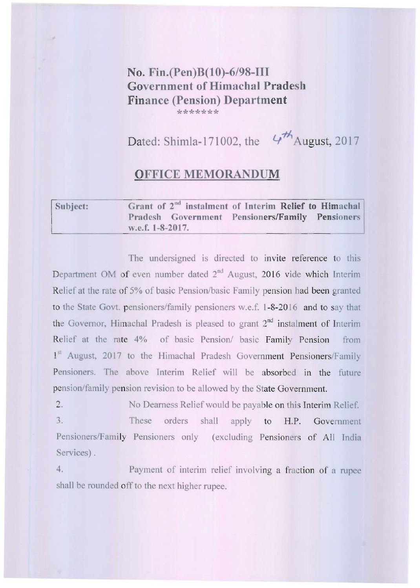## **No. Fin.(Pen)B(lO)-6/98-1II Govemment** of Himachal **Pradesh Finance (Pension) Department \*\*\*\*\*\*\***

Dated: Shimla-171002, the  $4\frac{H}{A}$  August, 2017

## **OFFICE MEMORANDUM**

| Subject: |                  | Grant of 2 <sup>nd</sup> instalment of Interim Relief to Himachal |  |  |
|----------|------------------|-------------------------------------------------------------------|--|--|
|          |                  | Pradesh Government Pensioners/Family Pensioners                   |  |  |
|          | w.e.f. 1-8-2017. |                                                                   |  |  |

The undersigned is directed to invite reference to this Department OM of even number dated 2<sup>nd</sup> August, 2016 vide which Interim Relief at the rate of 5% of basic Pension/basic Family pension had been granted to the State Govt. pensioners/family pensioners w.e.f. 1-8-20 16 and to say that **the Governor, Himachal Pradesh is pleased to grant 2nd instalment of Interim Relief at the rate 4% of basic Pension/ basic Family Pension from**  1<sup>st</sup> August, 2017 to the Himachal Pradesh Government Pensioners/Family Pensioners. The above Interim Relief will be absorbed in the future pension/family pension revision to be allowed by the State Government.

2. 3. No Dearness Relief would be payable on this Interim Relief. These orders shall apply to H.P. Government **Pensioners/Family Pensioners only (excluding Pensioners of All India**  Services) .

4. **Payment of interim relief involving a fraction of a rupee**  shall be rounded off to the next higher rupee.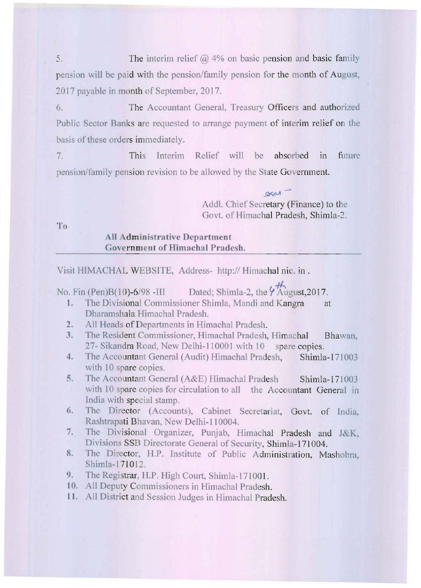5. The interim relief  $\omega$  4% on basic pension and basic family pension will be paid with the pension/family pension for the month of August, 2017 payable in month of September, 2017.

6. The Accountant General, Treasury Officers and authorized Public Sector Banks are requested to arrange payment of interim relief on the basis of these orders immediately.

7. This Interim Relief will be absorbed in future pension/family pension revision to be allowed by the State Government.

> $\alpha$ Add!. Chief Secretary (Finance) to the Govt. of Himachal Pradesh, Shimla-2.

To

## **All Administrative Department Government of Himachal Pradesh.**

Visit HIMACHAL WEBSITE, Address- http:// Himachal nie. in .

No. Fin (Pen)B(10)-6/98 -III Dated; Shimla-2, the  $\frac{4\pi}{4}$  August, 2017.

- **I. The Divisiona l Commissioner Shimia, Mandi and Kangra at**  Dharamshala Himachal Pradesh.
- 2. All Heads of Departments in Himachal Pradesh.
- **3. The Resident Commissioner, Himachal Pradesh, Himachal Bhawan.**  27- Sikandra Road, New Delhi-110001 with 10 spare copies.
- 4. The Accountant General (Audit) Himachal Pradesh, Shimla-171003 with 10 spare copies.
- 5. The Accountant General (A&E) Himachal Pradesh Shimla-171003 **with 10 spare copics for circulation to all the Accountant General in India with special stamp.**
- 6. The Director (Accounts), Cabinet Secretariat, Govt. of India, Rashtrapati Bhavan, New Delhi-II 0004.
- 7. The Divisional Organizer, Punjab, Himachal Pradesh and J&K, Divisions SSB Directorate General of Security, Shimla-171004.
- 8. The Director, H.P. Institute of Public Administration, Mashobra, Shimla-17 1012.
- 9. The Registrar, H.P. High Court, Shimla-171001.
- 10. All Deputy Commissioners in Himachal Pradesh.
- **II.** All District and Session Judges in Himachal Pradesh.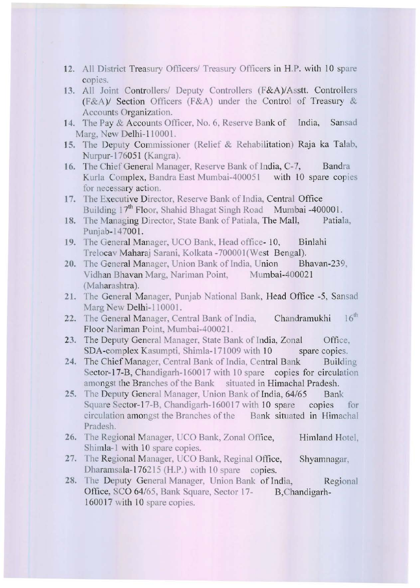- 12. All District Treasury Officers/ Treasury Officers in H.P. with 10 spare copies.
- 13. All Joint Controllers/ Deputy Controllers (F&A)/Asstt. Controllers (F&A)! Section Officers (F&A) under the Control of Treasury & **Accounts Organization.**
- 14. The Pay & Accounts Officer, No. 6, Reserve Bank of India, Sansad Marg, New Delhi-110001.
- 15. The Deputy Commissioner (Relief & Rehabilitation) Raja ka Talab, Nurpur-176051 (Kangra).
- 16. The Chief General Manager, Reserve Bank of India, C-7, Bandra Kurla Complex, Bandra East Mumbai-400051 with 10 spare copies **for necessary action.**
- 17. The Executive Director, Reserve Bank of India, Central Office Building 17<sup>th</sup> Floor, Shahid Bhagat Singh Road Mumbai -400001.
- **18.** The Managing Director, State Bank of Patiala, The Mall, Patiala, Punjab-147001.
- 19. The General Manager, UCO Bank, Head office-10, Binlahi Trelocav Maharaj Sarani, Kolkata -700001 (West Bengal).
- 20. The General Manager, Union Bank of India, Union Bhavan-239, Vidhan Bhavan Marg, Nariman Point, Mumbai-400021 (Maharashtra).
- 21. The General Manager, Punjab National Bank, Head Office -5, Sansad Marg New Delhi-110001.
- 22. The General Manager, Central Bank of India, Chandramukhi 16<sup>th</sup> Floor Nariman Point, Mumbai-400021.
- 23. The Deputy General Manager, State Bank of India, Zonal Office, SDA-complex Kasumpti, Shimla-171009 with 10 spare copies.
- 24. The Chief Manager, Central Bank of India, Central Bank Building Sector-17-B, Chandigarh-160017 with 10 spare copies for circulation amongst the Branches of the Bank situated in Himachal Pradesh.
- 25. The Deputy General Manager, Union Bank of India, 64/65 Bank Square Sector-17-B, Chandigarh-160017 with 10 spare copies for **circulation amongst the Branches** of the **Bank situated in Ilimachal**  Pradesh.
- 26. The Regional Manager, UCO Bank, Zonal Office, Himland Hotel, Shimla-I with 10 spare copies.
- 27. The Regional Manager, UCO Bank, Reginal Office, Shyamnagar, Dharamsala-176215 (H.P.) with 10 spare copies.
- 28. The Deputy General Manager, Union Bank of India, Regional Office, SCO 64/65, Bank Square, Sector 17- B, Chandigarh-160017 with 10 spare copies.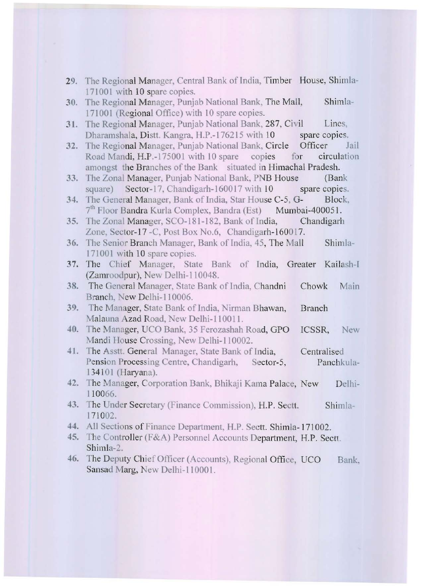- 29. The Regional Manager, Central Bank of India, Timber House, Shimla-171001 with 10 spare copies.
- 30. The Regional Manager, Punjab National Bank, The Mall, Shimla-171001 (Regional Office) with 10 spare copies.
- 31. The Regional Manager, Punjab National Bank, 287, Civil Lines, Dharamshala, Distt. Kangra, H.P.-176215 with 10 spare copies.
- 32. The Regional Manager, Punjab National Bank, Circle Officer Jail Road Mandi, H.P.-175001 with 10 spare copies for circulation amongst the Branches of the Bank situated in Himachal Pradesh.
- 33. The Zonal Manager, Punjab National Bank, PNB House (Bank square) Sector-17, Chandigarh-160017 with 10 spare copies.
- 34. The General Manager, Bank of India, Star House C-5, G- Block, 7<sup>th</sup> Floor Bandra Kurla Complex, Bandra (Est) Mumbai-400051.
- 35. The Zonal Manager, SCO-181-182, Bank of India, Chandigarh Zone, Sector-17 -C, Post Box No.6, Chandigarh-160017.
- 36. The Senior Branch Manager, Bank of India, 45, The Mall Shimla-171001 with 10 spare copies.
- 37. The Chief Manager, State Bank of India, Greater Kailash-I (Zamroodpur), New Delhi-110048.
- 3S. The General Manager, State Bank of India, Chandni Chowk Main Branch, New Delhi-I 10006.
- 39. The Manager, State Bank of India, Nirman Bhawan, Branch Malauna Azad Road, New Delhi-110011.
- 40. The Manager, UCO Bank, 35 Ferozashah Road, GPO lCSSR, New Mandi House Crossing, New Delhi-I 10002.
- 41. The Asstt. General Manager, State Bank of India, Centralised Pension Processing Centre, Chandigarh, Sector-5, Panchkula-134101 (Haryana).
- 42. The Manager, Corporation Bank, Bhikaji Kama Palace, New Delhi-110066.
- 43. The Under Secretary (Finance Commission), H.P. Sectt. 171002. Shimla-
- 44. All Sections of Finance Department, H.P. Sectt. Shimla-171002.
- 45. The Controller (F&A) Personnel Accounts Department, H.P. Sectt. Shimla-2.
- 46. The Deputy Chief Officer (Accounts), Regional Office, UCO Bank, Sansad Marg, New Delhi-110001.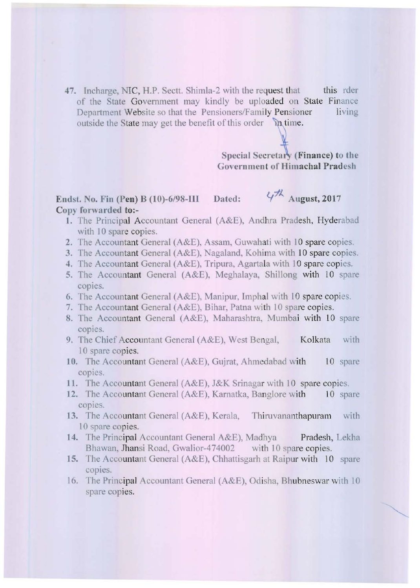47. Incharge, NIC, H.P. Sectt. Shimla-2 with the request that this rder of the State Government may kindly be uploaded on State Finance **Department Website so that the Pensioners/Family Pensioner living** outside the State may get the benefit of this order  $\lambda$  time.

> Special Secretary (Finance) to the Government of Himachal Pradesh

## Endst, No. Fin (Pen) B (10)-6/98-III Dated:  $4\frac{1}{10}$  August, 2017 Copy forwarded to:-

- 1. The Principal Accountant General (A&E), Andhra Pradesh, Hyderabad with 10 spare copies.
- 2. The Accountant General  $(A&E)$ , Assam, Guwahati with 10 spare copies.
- 3. The Accountant General (A&E), Nagaland, Kohima with 10 spare copies.
- 4. The Accountant General (A&E), Tripura, Agartala with 10 spare copies.
- 5. The Accountant General (A&E), Meghalaya, Shillong with 10 spare **COpICS.**
- 6. The Accountant General ( $A\&E$ ), Manipur, Imphal with 10 spare copies.
- 7. The Accountant General (A&E), Bihar, Patna with 10 spare copies.
- 8. The Accountant General (A&E), Maharashtra, Mumbai with 10 spare copies.
- 9. The Chief Accountant General (A&E), West Bengal, Kolkata with 10 spare copies.
- 10. The Accountant General (A&E), Gujrat, Ahmedabad with 10 spare copies.
- 11. The Accountant General (A&E), J&K Srinagar with 10 spare copies.
- 12. The Accountant General (A&E), Karnatka, Banglore with 10 spare **COpICS.**
- 13. The Accountant General (A&E), Kerala, Thiruvananthapuram with 10 spare copies.
- 14. The Principal Accountant General A&E), Madhya Pradesh, Lekha Bhawan, Jhansi Road, Gwalior-474002 with 10 spare copies.
- 15. The Accountant General (A&E), Chhattisgarh at Raipur with 10 spare **copies.**
- 16. The Principal Accountant General (A&E), Odisha, Bhubneswar with 10 spare copies.